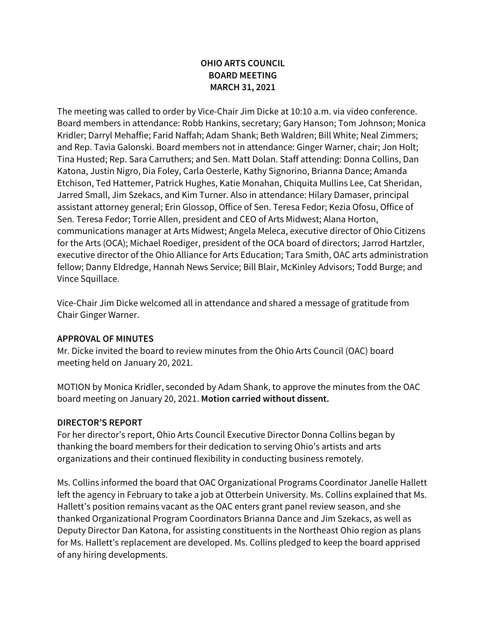## **OHIO ARTS COUNCIL BOARD MEETING MARCH 31, 2021**

The meeting was called to order by Vice-Chair Jim Dicke at 10:10 a.m. via video conference. Board members in attendance: Robb Hankins, secretary; Gary Hanson; Tom Johnson; Monica Kridler; Darryl Mehaffie; Farid Naffah; Adam Shank; Beth Waldren; Bill White; Neal Zimmers; and Rep. Tavia Galonski. Board members not in attendance: Ginger Warner, chair; Jon Holt; Tina Husted; Rep. Sara Carruthers; and Sen. Matt Dolan. Staff attending: Donna Collins, Dan Katona, Justin Nigro, Dia Foley, Carla Oesterle, Kathy Signorino, Brianna Dance; Amanda Etchison, Ted Hattemer, Patrick Hughes, Katie Monahan, Chiquita Mullins Lee, Cat Sheridan, Jarred Small, Jim Szekacs, and Kim Turner. Also in attendance: Hilary Damaser, principal assistant attorney general; Erin Glossop, Office of Sen. Teresa Fedor; Kezia Ofosu, Office of Sen. Teresa Fedor; Torrie Allen, president and CEO of Arts Midwest; Alana Horton, communications manager at Arts Midwest; Angela Meleca, executive director of Ohio Citizens for the Arts (OCA); Michael Roediger, president of the OCA board of directors; Jarrod Hartzler, executive director of the Ohio Alliance for Arts Education; Tara Smith, OAC arts administration fellow; Danny Eldredge, Hannah News Service; Bill Blair, McKinley Advisors; Todd Burge; and Vince Squillace.

Vice-Chair Jim Dicke welcomed all in attendance and shared a message of gratitude from Chair Ginger Warner.

#### **APPROVAL OF MINUTES**

Mr. Dicke invited the board to review minutes from the Ohio Arts Council (OAC) board meeting held on January 20, 2021.

MOTION by Monica Kridler, seconded by Adam Shank, to approve the minutes from the OAC board meeting on January 20, 2021. **Motion carried without dissent.**

#### **DIRECTOR'S REPORT**

For her director's report, Ohio Arts Council Executive Director Donna Collins began by thanking the board members for their dedication to serving Ohio's artists and arts organizations and their continued flexibility in conducting business remotely.

Ms. Collins informed the board that OAC Organizational Programs Coordinator Janelle Hallett left the agency in February to take a job at Otterbein University. Ms. Collins explained that Ms. Hallett's position remains vacant as the OAC enters grant panel review season, and she thanked Organizational Program Coordinators Brianna Dance and Jim Szekacs, as well as Deputy Director Dan Katona, for assisting constituents in the Northeast Ohio region as plans for Ms. Hallett's replacement are developed. Ms. Collins pledged to keep the board apprised of any hiring developments.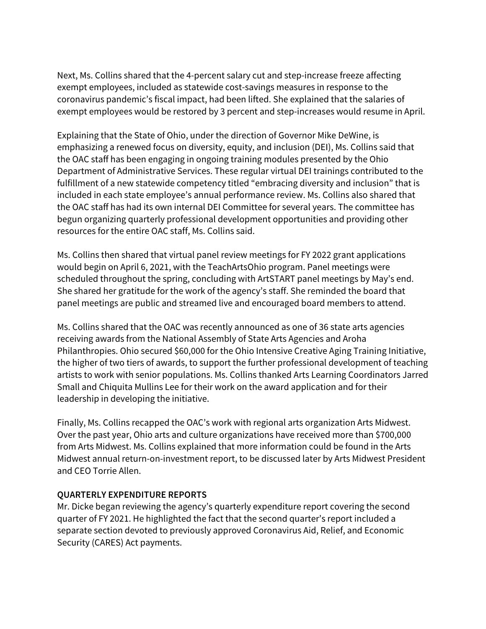Next, Ms. Collins shared that the 4-percent salary cut and step-increase freeze affecting exempt employees, included as statewide cost-savings measures in response to the coronavirus pandemic's fiscal impact, had been lifted. She explained that the salaries of exempt employees would be restored by 3 percent and step-increases would resume in April.

Explaining that the State of Ohio, under the direction of Governor Mike DeWine, is emphasizing a renewed focus on diversity, equity, and inclusion (DEI), Ms. Collins said that the OAC staff has been engaging in ongoing training modules presented by the Ohio Department of Administrative Services. These regular virtual DEI trainings contributed to the fulfillment of a new statewide competency titled "embracing diversity and inclusion" that is included in each state employee's annual performance review. Ms. Collins also shared that the OAC staff has had its own internal DEI Committee for several years. The committee has begun organizing quarterly professional development opportunities and providing other resources for the entire OAC staff, Ms. Collins said.

Ms. Collins then shared that virtual panel review meetings for FY 2022 grant applications would begin on April 6, 2021, with the TeachArtsOhio program. Panel meetings were scheduled throughout the spring, concluding with ArtSTART panel meetings by May's end. She shared her gratitude for the work of the agency's staff. She reminded the board that panel meetings are public and streamed live and encouraged board members to attend.

Ms. Collins shared that the OAC was recently announced as one of 36 state arts agencies receiving awards from the National Assembly of State Arts Agencies and Aroha Philanthropies. Ohio secured \$60,000 for the Ohio Intensive Creative Aging Training Initiative, the higher of two tiers of awards, to support the further professional development of teaching artists to work with senior populations. Ms. Collins thanked Arts Learning Coordinators Jarred Small and Chiquita Mullins Lee for their work on the award application and for their leadership in developing the initiative.

Finally, Ms. Collins recapped the OAC's work with regional arts organization Arts Midwest. Over the past year, Ohio arts and culture organizations have received more than \$700,000 from Arts Midwest. Ms. Collins explained that more information could be found in the Arts Midwest annual return-on-investment report, to be discussed later by Arts Midwest President and CEO Torrie Allen.

#### **QUARTERLY EXPENDITURE REPORTS**

Mr. Dicke began reviewing the agency's quarterly expenditure report covering the second quarter of FY 2021. He highlighted the fact that the second quarter's report included a separate section devoted to previously approved Coronavirus Aid, Relief, and Economic Security (CARES) Act payments.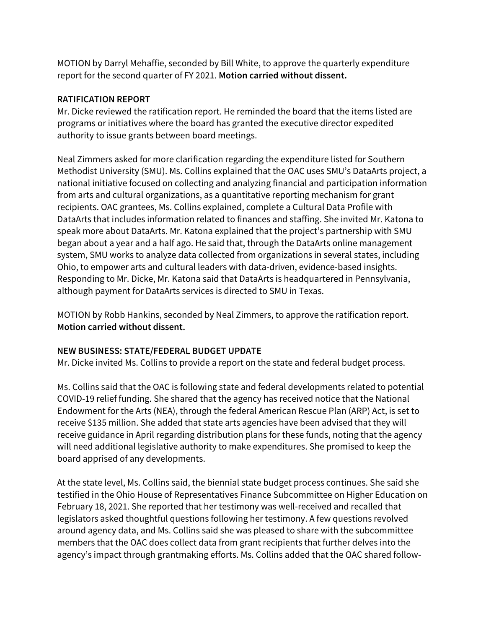MOTION by Darryl Mehaffie, seconded by Bill White, to approve the quarterly expenditure report for the second quarter of FY 2021. **Motion carried without dissent.**

#### **RATIFICATION REPORT**

Mr. Dicke reviewed the ratification report. He reminded the board that the items listed are programs or initiatives where the board has granted the executive director expedited authority to issue grants between board meetings.

Neal Zimmers asked for more clarification regarding the expenditure listed for Southern Methodist University (SMU). Ms. Collins explained that the OAC uses SMU's DataArts project, a national initiative focused on collecting and analyzing financial and participation information from arts and cultural organizations, as a quantitative reporting mechanism for grant recipients. OAC grantees, Ms. Collins explained, complete a Cultural Data Profile with DataArts that includes information related to finances and staffing. She invited Mr. Katona to speak more about DataArts. Mr. Katona explained that the project's partnership with SMU began about a year and a half ago. He said that, through the DataArts online management system, SMU works to analyze data collected from organizations in several states, including Ohio, to empower arts and cultural leaders with data-driven, evidence-based insights. Responding to Mr. Dicke, Mr. Katona said that DataArts is headquartered in Pennsylvania, although payment for DataArts services is directed to SMU in Texas.

MOTION by Robb Hankins, seconded by Neal Zimmers, to approve the ratification report. **Motion carried without dissent.**

#### **NEW BUSINESS: STATE/FEDERAL BUDGET UPDATE**

Mr. Dicke invited Ms. Collins to provide a report on the state and federal budget process.

Ms. Collins said that the OAC is following state and federal developments related to potential COVID-19 relief funding. She shared that the agency has received notice that the National Endowment for the Arts (NEA), through the federal American Rescue Plan (ARP) Act, is set to receive \$135 million. She added that state arts agencies have been advised that they will receive guidance in April regarding distribution plans for these funds, noting that the agency will need additional legislative authority to make expenditures. She promised to keep the board apprised of any developments.

At the state level, Ms. Collins said, the biennial state budget process continues. She said she testified in the Ohio House of Representatives Finance Subcommittee on Higher Education on February 18, 2021. She reported that her testimony was well-received and recalled that legislators asked thoughtful questions following her testimony. A few questions revolved around agency data, and Ms. Collins said she was pleased to share with the subcommittee members that the OAC does collect data from grant recipients that further delves into the agency's impact through grantmaking efforts. Ms. Collins added that the OAC shared follow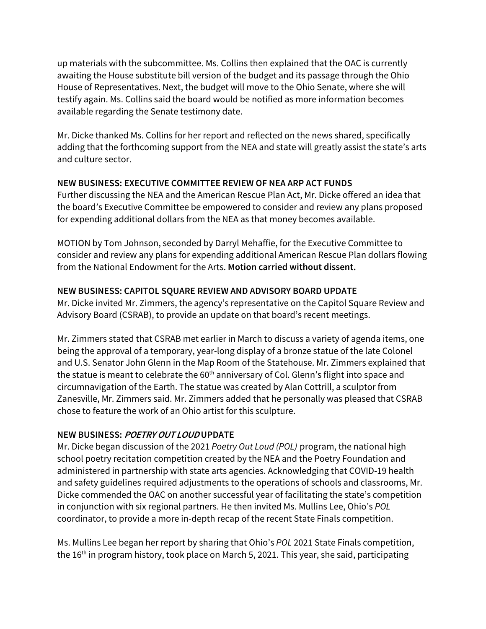up materials with the subcommittee. Ms. Collins then explained that the OAC is currently awaiting the House substitute bill version of the budget and its passage through the Ohio House of Representatives. Next, the budget will move to the Ohio Senate, where she will testify again. Ms. Collins said the board would be notified as more information becomes available regarding the Senate testimony date.

Mr. Dicke thanked Ms. Collins for her report and reflected on the news shared, specifically adding that the forthcoming support from the NEA and state will greatly assist the state's arts and culture sector.

### **NEW BUSINESS: EXECUTIVE COMMITTEE REVIEW OF NEA ARP ACT FUNDS**

Further discussing the NEA and the American Rescue Plan Act, Mr. Dicke offered an idea that the board's Executive Committee be empowered to consider and review any plans proposed for expending additional dollars from the NEA as that money becomes available.

MOTION by Tom Johnson, seconded by Darryl Mehaffie, for the Executive Committee to consider and review any plans for expending additional American Rescue Plan dollars flowing from the National Endowment for the Arts. **Motion carried without dissent.**

## **NEW BUSINESS: CAPITOL SQUARE REVIEW AND ADVISORY BOARD UPDATE**

Mr. Dicke invited Mr. Zimmers, the agency's representative on the Capitol Square Review and Advisory Board (CSRAB), to provide an update on that board's recent meetings.

Mr. Zimmers stated that CSRAB met earlier in March to discuss a variety of agenda items, one being the approval of a temporary, year-long display of a bronze statue of the late Colonel and U.S. Senator John Glenn in the Map Room of the Statehouse. Mr. Zimmers explained that the statue is meant to celebrate the 60<sup>th</sup> anniversary of Col. Glenn's flight into space and circumnavigation of the Earth. The statue was created by Alan Cottrill, a sculptor from Zanesville, Mr. Zimmers said. Mr. Zimmers added that he personally was pleased that CSRAB chose to feature the work of an Ohio artist for this sculpture.

## **NEW BUSINESS: POETRY OUT LOUD UPDATE**

Mr. Dicke began discussion of the 2021 *Poetry Out Loud (POL)* program, the national high school poetry recitation competition created by the NEA and the Poetry Foundation and administered in partnership with state arts agencies. Acknowledging that COVID-19 health and safety guidelines required adjustments to the operations of schools and classrooms, Mr. Dicke commended the OAC on another successful year of facilitating the state's competition in conjunction with six regional partners. He then invited Ms. Mullins Lee, Ohio's *POL*  coordinator, to provide a more in-depth recap of the recent State Finals competition.

Ms. Mullins Lee began her report by sharing that Ohio's *POL* 2021 State Finals competition, the 16<sup>th</sup> in program history, took place on March 5, 2021. This year, she said, participating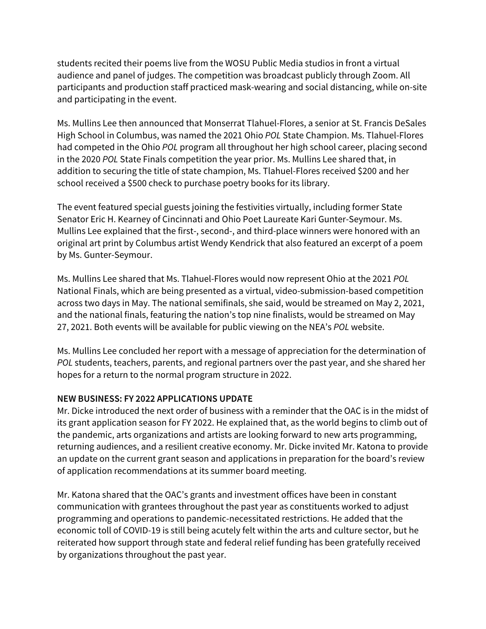students recited their poems live from the WOSU Public Media studios in front a virtual audience and panel of judges. The competition was broadcast publicly through Zoom. All participants and production staff practiced mask-wearing and social distancing, while on-site and participating in the event.

Ms. Mullins Lee then announced that Monserrat Tlahuel-Flores, a senior at St. Francis DeSales High School in Columbus, was named the 2021 Ohio *POL* State Champion. Ms. Tlahuel-Flores had competed in the Ohio *POL* program all throughout her high school career, placing second in the 2020 *POL* State Finals competition the year prior. Ms. Mullins Lee shared that, in addition to securing the title of state champion, Ms. Tlahuel-Flores received \$200 and her school received a \$500 check to purchase poetry books for its library.

The event featured special guests joining the festivities virtually, including former State Senator Eric H. Kearney of Cincinnati and Ohio Poet Laureate Kari Gunter-Seymour. Ms. Mullins Lee explained that the first-, second-, and third-place winners were honored with an original art print by Columbus artist Wendy Kendrick that also featured an excerpt of a poem by Ms. Gunter-Seymour.

Ms. Mullins Lee shared that Ms. Tlahuel-Flores would now represent Ohio at the 2021 *POL* National Finals, which are being presented as a virtual, video-submission-based competition across two days in May. The national semifinals, she said, would be streamed on May 2, 2021, and the national finals, featuring the nation's top nine finalists, would be streamed on May 27, 2021. Both events will be available for public viewing on the NEA's *POL* website.

Ms. Mullins Lee concluded her report with a message of appreciation for the determination of *POL* students, teachers, parents, and regional partners over the past year, and she shared her hopes for a return to the normal program structure in 2022.

## **NEW BUSINESS: FY 2022 APPLICATIONS UPDATE**

Mr. Dicke introduced the next order of business with a reminder that the OAC is in the midst of its grant application season for FY 2022. He explained that, as the world begins to climb out of the pandemic, arts organizations and artists are looking forward to new arts programming, returning audiences, and a resilient creative economy. Mr. Dicke invited Mr. Katona to provide an update on the current grant season and applications in preparation for the board's review of application recommendations at its summer board meeting.

Mr. Katona shared that the OAC's grants and investment offices have been in constant communication with grantees throughout the past year as constituents worked to adjust programming and operations to pandemic-necessitated restrictions. He added that the economic toll of COVID-19 is still being acutely felt within the arts and culture sector, but he reiterated how support through state and federal relief funding has been gratefully received by organizations throughout the past year.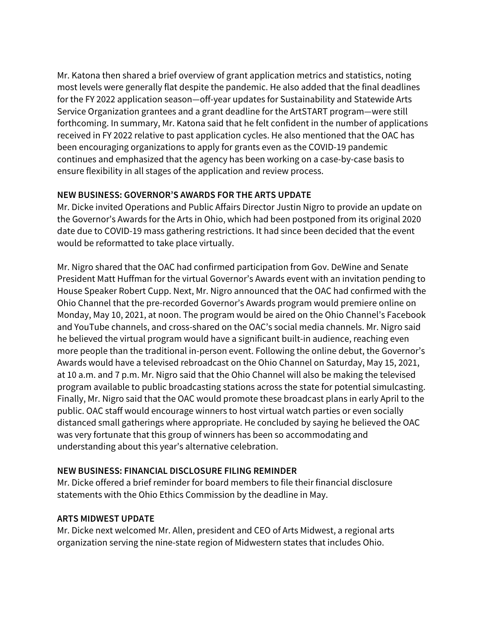Mr. Katona then shared a brief overview of grant application metrics and statistics, noting most levels were generally flat despite the pandemic. He also added that the final deadlines for the FY 2022 application season—off-year updates for Sustainability and Statewide Arts Service Organization grantees and a grant deadline for the ArtSTART program—were still forthcoming. In summary, Mr. Katona said that he felt confident in the number of applications received in FY 2022 relative to past application cycles. He also mentioned that the OAC has been encouraging organizations to apply for grants even as the COVID-19 pandemic continues and emphasized that the agency has been working on a case-by-case basis to ensure flexibility in all stages of the application and review process.

## **NEW BUSINESS: GOVERNOR'S AWARDS FOR THE ARTS UPDATE**

Mr. Dicke invited Operations and Public Affairs Director Justin Nigro to provide an update on the Governor's Awards for the Arts in Ohio, which had been postponed from its original 2020 date due to COVID-19 mass gathering restrictions. It had since been decided that the event would be reformatted to take place virtually.

Mr. Nigro shared that the OAC had confirmed participation from Gov. DeWine and Senate President Matt Huffman for the virtual Governor's Awards event with an invitation pending to House Speaker Robert Cupp. Next, Mr. Nigro announced that the OAC had confirmed with the Ohio Channel that the pre-recorded Governor's Awards program would premiere online on Monday, May 10, 2021, at noon. The program would be aired on the Ohio Channel's Facebook and YouTube channels, and cross-shared on the OAC's social media channels. Mr. Nigro said he believed the virtual program would have a significant built-in audience, reaching even more people than the traditional in-person event. Following the online debut, the Governor's Awards would have a televised rebroadcast on the Ohio Channel on Saturday, May 15, 2021, at 10 a.m. and 7 p.m. Mr. Nigro said that the Ohio Channel will also be making the televised program available to public broadcasting stations across the state for potential simulcasting. Finally, Mr. Nigro said that the OAC would promote these broadcast plans in early April to the public. OAC staff would encourage winners to host virtual watch parties or even socially distanced small gatherings where appropriate. He concluded by saying he believed the OAC was very fortunate that this group of winners has been so accommodating and understanding about this year's alternative celebration.

# **NEW BUSINESS: FINANCIAL DISCLOSURE FILING REMINDER**

Mr. Dicke offered a brief reminder for board members to file their financial disclosure statements with the Ohio Ethics Commission by the deadline in May.

## **ARTS MIDWEST UPDATE**

Mr. Dicke next welcomed Mr. Allen, president and CEO of Arts Midwest, a regional arts organization serving the nine-state region of Midwestern states that includes Ohio.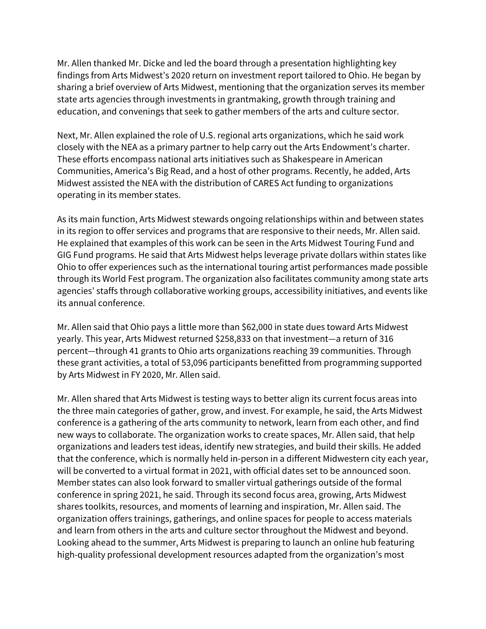Mr. Allen thanked Mr. Dicke and led the board through a presentation highlighting key findings from Arts Midwest's 2020 return on investment report tailored to Ohio. He began by sharing a brief overview of Arts Midwest, mentioning that the organization serves its member state arts agencies through investments in grantmaking, growth through training and education, and convenings that seek to gather members of the arts and culture sector.

Next, Mr. Allen explained the role of U.S. regional arts organizations, which he said work closely with the NEA as a primary partner to help carry out the Arts Endowment's charter. These efforts encompass national arts initiatives such as Shakespeare in American Communities, America's Big Read, and a host of other programs. Recently, he added, Arts Midwest assisted the NEA with the distribution of CARES Act funding to organizations operating in its member states.

As its main function, Arts Midwest stewards ongoing relationships within and between states in its region to offer services and programs that are responsive to their needs, Mr. Allen said. He explained that examples of this work can be seen in the Arts Midwest Touring Fund and GIG Fund programs. He said that Arts Midwest helps leverage private dollars within states like Ohio to offer experiences such as the international touring artist performances made possible through its World Fest program. The organization also facilitates community among state arts agencies' staffs through collaborative working groups, accessibility initiatives, and events like its annual conference.

Mr. Allen said that Ohio pays a little more than \$62,000 in state dues toward Arts Midwest yearly. This year, Arts Midwest returned \$258,833 on that investment—a return of 316 percent—through 41 grants to Ohio arts organizations reaching 39 communities. Through these grant activities, a total of 53,096 participants benefitted from programming supported by Arts Midwest in FY 2020, Mr. Allen said.

Mr. Allen shared that Arts Midwest is testing ways to better align its current focus areas into the three main categories of gather, grow, and invest. For example, he said, the Arts Midwest conference is a gathering of the arts community to network, learn from each other, and find new ways to collaborate. The organization works to create spaces, Mr. Allen said, that help organizations and leaders test ideas, identify new strategies, and build their skills. He added that the conference, which is normally held in-person in a different Midwestern city each year, will be converted to a virtual format in 2021, with official dates set to be announced soon. Member states can also look forward to smaller virtual gatherings outside of the formal conference in spring 2021, he said. Through its second focus area, growing, Arts Midwest shares toolkits, resources, and moments of learning and inspiration, Mr. Allen said. The organization offers trainings, gatherings, and online spaces for people to access materials and learn from others in the arts and culture sector throughout the Midwest and beyond. Looking ahead to the summer, Arts Midwest is preparing to launch an online hub featuring high-quality professional development resources adapted from the organization's most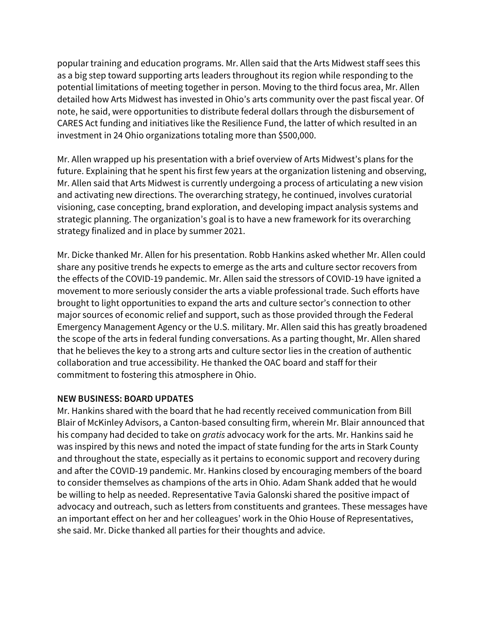popular training and education programs. Mr. Allen said that the Arts Midwest staff sees this as a big step toward supporting arts leaders throughout its region while responding to the potential limitations of meeting together in person. Moving to the third focus area, Mr. Allen detailed how Arts Midwest has invested in Ohio's arts community over the past fiscal year. Of note, he said, were opportunities to distribute federal dollars through the disbursement of CARES Act funding and initiatives like the Resilience Fund, the latter of which resulted in an investment in 24 Ohio organizations totaling more than \$500,000.

Mr. Allen wrapped up his presentation with a brief overview of Arts Midwest's plans for the future. Explaining that he spent his first few years at the organization listening and observing, Mr. Allen said that Arts Midwest is currently undergoing a process of articulating a new vision and activating new directions. The overarching strategy, he continued, involves curatorial visioning, case concepting, brand exploration, and developing impact analysis systems and strategic planning. The organization's goal is to have a new framework for its overarching strategy finalized and in place by summer 2021.

Mr. Dicke thanked Mr. Allen for his presentation. Robb Hankins asked whether Mr. Allen could share any positive trends he expects to emerge as the arts and culture sector recovers from the effects of the COVID-19 pandemic. Mr. Allen said the stressors of COVID-19 have ignited a movement to more seriously consider the arts a viable professional trade. Such efforts have brought to light opportunities to expand the arts and culture sector's connection to other major sources of economic relief and support, such as those provided through the Federal Emergency Management Agency or the U.S. military. Mr. Allen said this has greatly broadened the scope of the arts in federal funding conversations. As a parting thought, Mr. Allen shared that he believes the key to a strong arts and culture sector lies in the creation of authentic collaboration and true accessibility. He thanked the OAC board and staff for their commitment to fostering this atmosphere in Ohio.

#### **NEW BUSINESS: BOARD UPDATES**

Mr. Hankins shared with the board that he had recently received communication from Bill Blair of McKinley Advisors, a Canton-based consulting firm, wherein Mr. Blair announced that his company had decided to take on *gratis* advocacy work for the arts. Mr. Hankins said he was inspired by this news and noted the impact of state funding for the arts in Stark County and throughout the state, especially as it pertains to economic support and recovery during and after the COVID-19 pandemic. Mr. Hankins closed by encouraging members of the board to consider themselves as champions of the arts in Ohio. Adam Shank added that he would be willing to help as needed. Representative Tavia Galonski shared the positive impact of advocacy and outreach, such as letters from constituents and grantees. These messages have an important effect on her and her colleagues' work in the Ohio House of Representatives, she said. Mr. Dicke thanked all parties for their thoughts and advice.